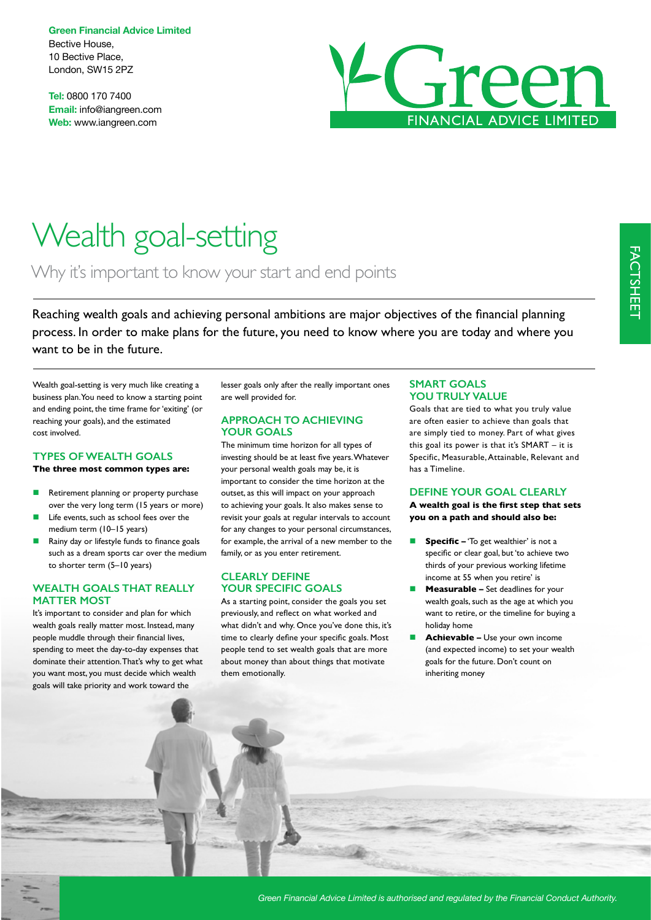**Green Financial Advice Limited** Bective House, 10 Bective Place, London, SW15 2PZ

**Tel:** 0800 170 7400 **Email:** info@iangreen.com **Web:** www.iangreen.com



# Wealth goal-setting

Why it's important to know your start and end points

Reaching wealth goals and achieving personal ambitions are major objectives of the fnancial planning process. In order to make plans for the future, you need to know where you are today and where you want to be in the future.

Wealth goal-setting is very much like creating a business plan. You need to know a starting point and ending point, the time frame for 'exiting' (or reaching your goals), and the estimated cost involved.

#### **TYPES OF WEALTH GOALS The three most common types are:**

**n** Retirement planning or property purchase

- over the very long term (15 years or more) Life events, such as school fees over the
- medium term (10–15 years) Rainy day or lifestyle funds to finance goals such as a dream sports car over the medium

## **WEALTH GOALS THAT REALLY MATTER MOST**

to shorter term (5–10 years)

It's important to consider and plan for which wealth goals really matter most. Instead, many people muddle through their fnancial lives, spending to meet the day-to-day expenses that dominate their attention. That's why to get what you want most, you must decide which wealth goals will take priority and work toward the

lesser goals only after the really important ones are well provided for.

#### **APPROACH TO ACHIEVING YOUR GOALS**

The minimum time horizon for all types of investing should be at least fve years. Whatever your personal wealth goals may be, it is important to consider the time horizon at the outset, as this will impact on your approach to achieving your goals. It also makes sense to revisit your goals at regular intervals to account for any changes to your personal circumstances, for example, the arrival of a new member to the family, or as you enter retirement.

## **CLEARLY DEFINE YOUR SPECIFIC GOALS**

As a starting point, consider the goals you set previously, and refect on what worked and what didn't and why. Once you've done this, it's time to clearly defne your specifc goals. Most people tend to set wealth goals that are more about money than about things that motivate them emotionally.

#### **SMART GOALS YOU TRULY VALUE**

Goals that are tied to what you truly value are often easier to achieve than goals that are simply tied to money. Part of what gives this goal its power is that it's SMART – it is Specific, Measurable, Attainable, Relevant and has a Timeline.

# **DEFINE YOUR GOAL CLEARLY**

**A wealth goal is the frst step that sets you on a path and should also be:**

- **Specific –** 'To get wealthier' is not a specifc or clear goal, but 'to achieve two thirds of your previous working lifetime income at 55 when you retire' is
- **Measurable Set deadlines for your** wealth goals, such as the age at which you want to retire, or the timeline for buying a holiday home
- Achievable Use your own income (and expected income) to set your wealth goals for the future. Don't count on inheriting money